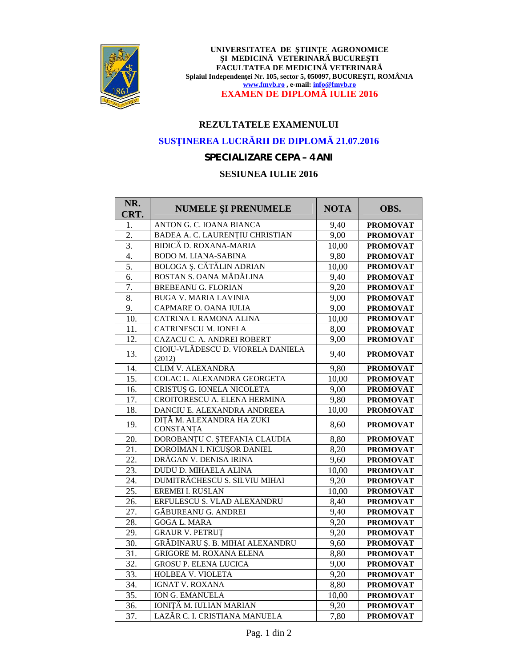

UNIVERSITATEA DE TIIN E AGRONOMICE **I MEDICIN VETERINAR BUCURE TI FACULTATEA DE MEDICIN VETERINAR** Splaiul Independen ei Nr. 105, sector 5, 050097, BUCURE TI, ROMÂNIA **www.fmvb.ro , e-mail: info@fmvb.ro EXAMEN DE DIPLOM IULIE 2016** 

# **REZULTATELE EXAMENULUI**

# **SUS INEREA LUCR RII DE DIPLOM 21.07.2016**

### *SPECIALIZARE CEPA – 4 ANI*

### **SESIUNEA IULIE 2016**

| NR.<br>CRT. | <b>NUMELE I PRENUMELE</b>                   | <b>NOTA</b> | OBS.            |
|-------------|---------------------------------------------|-------------|-----------------|
| 1.          | ANTON G. C. IOANA BIANCA                    | 9,40        | <b>PROMOVAT</b> |
| 2.          | BADEA A. C. LAURENȚIU CHRISTIAN             | 9,00        | <b>PROMOVAT</b> |
| 3.          | BIDIC D. ROXANA-MARIA                       | 10,00       | <b>PROMOVAT</b> |
| 4.          | <b>BODO M. LIANA-SABINA</b>                 | 9,80        | <b>PROMOVAT</b> |
| 5.          | BOLOGA . C T LIN ADRIAN                     | 10,00       | <b>PROMOVAT</b> |
| 6.          | BOSTAN S. OANA M D LINA                     | 9,40        | <b>PROMOVAT</b> |
| 7.          | <b>BREBEANU G. FLORIAN</b>                  | 9,20        | <b>PROMOVAT</b> |
| 8.          | <b>BUGA V. MARIA LAVINIA</b>                | 9,00        | <b>PROMOVAT</b> |
| 9.          | CAPMARE O. OANA IULIA                       | 9,00        | <b>PROMOVAT</b> |
| 10.         | CATRINA I. RAMONA ALINA                     | 10,00       | <b>PROMOVAT</b> |
| 11.         | <b>CATRINESCU M. IONELA</b>                 | 8,00        | <b>PROMOVAT</b> |
| 12.         | CAZACU C. A. ANDREI ROBERT                  | 9,00        | <b>PROMOVAT</b> |
| 13.         | CIOIU-VL DESCU D. VIORELA DANIELA<br>(2012) | 9,40        | <b>PROMOVAT</b> |
| 14.         | CLIM V. ALEXANDRA                           | 9,80        | <b>PROMOVAT</b> |
| 15.         | COLAC L. ALEXANDRA GEORGETA                 | 10,00       | <b>PROMOVAT</b> |
| 16.         | CRISTU G. IONELA NICOLETA                   | 9,00        | <b>PROMOVAT</b> |
| 17.         | CROITORESCU A. ELENA HERMINA                | 9,80        | <b>PROMOVAT</b> |
| 18.         | DANCIU E. ALEXANDRA ANDREEA                 | 10,00       | <b>PROMOVAT</b> |
| 19.         | DIT M. ALEXANDRA HA ZUKI<br>CONSTANȚA       | 8,60        | <b>PROMOVAT</b> |
| 20.         | DOROBANȚU C. ȘTEFANIA CLAUDIA               | 8,80        | <b>PROMOVAT</b> |
| 21.         | DOROIMAN I. NICU OR DANIEL                  | 8,20        | <b>PROMOVAT</b> |
| 22.         | DR GAN V. DENISA IRINA                      | 9,60        | <b>PROMOVAT</b> |
| 23.         | DUDU D. MIHAELA ALINA                       | 10,00       | <b>PROMOVAT</b> |
| 24.         | DUMITR CHESCU S. SILVIU MIHAI               | 9,20        | <b>PROMOVAT</b> |
| 25.         | <b>EREMEI I. RUSLAN</b>                     | 10,00       | <b>PROMOVAT</b> |
| 26.         | ERFULESCU S. VLAD ALEXANDRU                 | 8,40        | <b>PROMOVAT</b> |
| 27.         | <b>G BUREANU G. ANDREI</b>                  | 9,40        | <b>PROMOVAT</b> |
| 28.         | <b>GOGA L. MARA</b>                         | 9,20        | <b>PROMOVAT</b> |
| 29.         | <b>GRAUR V. PETRUT</b>                      | 9,20        | <b>PROMOVAT</b> |
| 30.         | GR DINARU . B. MIHAI ALEXANDRU              | 9,60        | <b>PROMOVAT</b> |
| 31.         | <b>GRIGORE M. ROXANA ELENA</b>              | 8,80        | <b>PROMOVAT</b> |
| 32.         | <b>GROSU P. ELENA LUCICA</b>                | 9,00        | <b>PROMOVAT</b> |
| 33.         | HOLBEA V. VIOLETA                           | 9,20        | <b>PROMOVAT</b> |
| 34.         | <b>IGNAT V. ROXANA</b>                      | 8,80        | <b>PROMOVAT</b> |
| 35.         | <b>ION G. EMANUELA</b>                      | 10,00       | <b>PROMOVAT</b> |
| 36.         | <b>M. IULIAN MARIAN</b><br><b>IONIT</b>     | 9,20        | <b>PROMOVAT</b> |
| 37.         | LAZ R C. I. CRISTIANA MANUELA               | 7,80        | <b>PROMOVAT</b> |